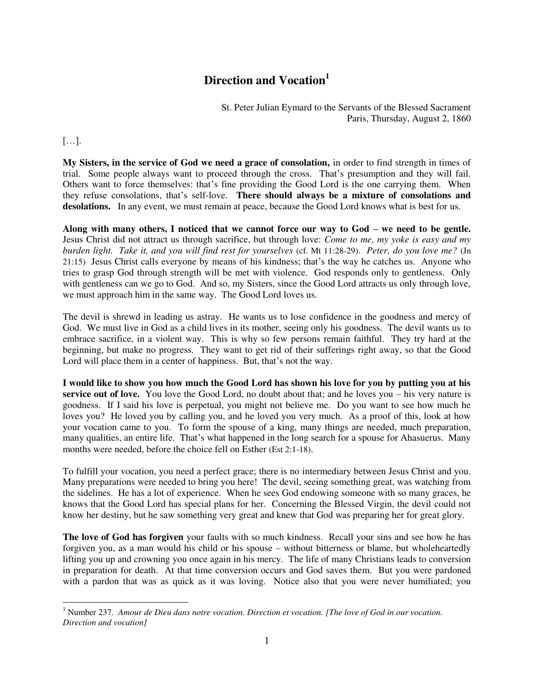## **Direction and Vocation<sup>1</sup>**

St. Peter Julian Eymard to the Servants of the Blessed Sacrament Paris, Thursday, August 2, 1860

[…].

**My Sisters, in the service of God we need a grace of consolation,** in order to find strength in times of trial. Some people always want to proceed through the cross. That's presumption and they will fail. Others want to force themselves: that's fine providing the Good Lord is the one carrying them. When they refuse consolations, that's self-love. **There should always be a mixture of consolations and**  desolations. In any event, we must remain at peace, because the Good Lord knows what is best for us.

Along with many others, I noticed that we cannot force our way to God – we need to be gentle. Jesus Christ did not attract us through sacrifice, but through love: *Come to me, my yoke is easy and my burden light. Take it, and you will find rest for yourselves* (cf. Mt 11:28-29). *Peter, do you love me?* (Jn 21:15) Jesus Christ calls everyone by means of his kindness; that's the way he catches us. Anyone who tries to grasp God through strength will be met with violence. God responds only to gentleness. Only with gentleness can we go to God. And so, my Sisters, since the Good Lord attracts us only through love, we must approach him in the same way. The Good Lord loves us.

The devil is shrewd in leading us astray. He wants us to lose confidence in the goodness and mercy of God. We must live in God as a child lives in its mother, seeing only his goodness. The devil wants us to embrace sacrifice, in a violent way. This is why so few persons remain faithful. They try hard at the beginning, but make no progress. They want to get rid of their sufferings right away, so that the Good Lord will place them in a center of happiness. But, that's not the way.

**I would like to show you how much the Good Lord has shown his love for you by putting you at his service out of love.** You love the Good Lord, no doubt about that; and he loves you – his very nature is goodness. If I said his love is perpetual, you might not believe me. Do you want to see how much he loves you? He loved you by calling you, and he loved you very much. As a proof of this, look at how your vocation came to you. To form the spouse of a king, many things are needed, much preparation, many qualities, an entire life. That's what happened in the long search for a spouse for Ahasuerus. Many months were needed, before the choice fell on Esther (Est 2:1-18).

To fulfill your vocation, you need a perfect grace; there is no intermediary between Jesus Christ and you. Many preparations were needed to bring you here! The devil, seeing something great, was watching from the sidelines. He has a lot of experience. When he sees God endowing someone with so many graces, he knows that the Good Lord has special plans for her. Concerning the Blessed Virgin, the devil could not know her destiny, but he saw something very great and knew that God was preparing her for great glory.

**The love of God has forgiven** your faults with so much kindness. Recall your sins and see how he has forgiven you, as a man would his child or his spouse – without bitterness or blame, but wholeheartedly lifting you up and crowning you once again in his mercy. The life of many Christians leads to conversion in preparation for death. At that time conversion occurs and God saves them. But you were pardoned with a pardon that was as quick as it was loving. Notice also that you were never humiliated; you

<sup>&</sup>lt;sup>1</sup> Number 237. *Amour de Dieu dans notre vocation. Direction et vocation. [The love of God in our vocation. Direction and vocation]*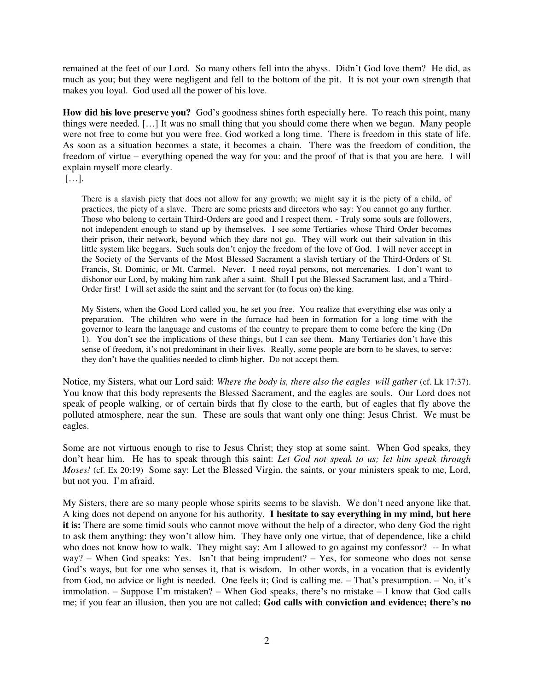remained at the feet of our Lord. So many others fell into the abyss. Didn't God love them? He did, as much as you; but they were negligent and fell to the bottom of the pit. It is not your own strength that makes you loyal. God used all the power of his love.

**How did his love preserve you?** God's goodness shines forth especially here. To reach this point, many things were needed. […] It was no small thing that you should come there when we began. Many people were not free to come but you were free. God worked a long time. There is freedom in this state of life. As soon as a situation becomes a state, it becomes a chain. There was the freedom of condition, the freedom of virtue – everything opened the way for you: and the proof of that is that you are here. I will explain myself more clearly.

[…].

There is a slavish piety that does not allow for any growth; we might say it is the piety of a child, of practices, the piety of a slave. There are some priests and directors who say: You cannot go any further. Those who belong to certain Third-Orders are good and I respect them. - Truly some souls are followers, not independent enough to stand up by themselves. I see some Tertiaries whose Third Order becomes their prison, their network, beyond which they dare not go. They will work out their salvation in this little system like beggars. Such souls don't enjoy the freedom of the love of God. I will never accept in the Society of the Servants of the Most Blessed Sacrament a slavish tertiary of the Third-Orders of St. Francis, St. Dominic, or Mt. Carmel. Never. I need royal persons, not mercenaries. I don't want to dishonor our Lord, by making him rank after a saint. Shall I put the Blessed Sacrament last, and a Third-Order first! I will set aside the saint and the servant for (to focus on) the king.

My Sisters, when the Good Lord called you, he set you free. You realize that everything else was only a preparation. The children who were in the furnace had been in formation for a long time with the governor to learn the language and customs of the country to prepare them to come before the king (Dn 1). You don't see the implications of these things, but I can see them. Many Tertiaries don't have this sense of freedom, it's not predominant in their lives. Really, some people are born to be slaves, to serve: they don't have the qualities needed to climb higher. Do not accept them.

Notice, my Sisters, what our Lord said: *Where the body is, there also the eagles will gather* (cf. Lk 17:37). You know that this body represents the Blessed Sacrament, and the eagles are souls. Our Lord does not speak of people walking, or of certain birds that fly close to the earth, but of eagles that fly above the polluted atmosphere, near the sun. These are souls that want only one thing: Jesus Christ. We must be eagles.

Some are not virtuous enough to rise to Jesus Christ; they stop at some saint. When God speaks, they don't hear him. He has to speak through this saint: *Let God not speak to us; let him speak through Moses!* (cf. Ex 20:19) Some say: Let the Blessed Virgin, the saints, or your ministers speak to me, Lord, but not you. I'm afraid.

My Sisters, there are so many people whose spirits seems to be slavish. We don't need anyone like that. A king does not depend on anyone for his authority. **I hesitate to say everything in my mind, but here it is:** There are some timid souls who cannot move without the help of a director, who deny God the right to ask them anything: they won't allow him. They have only one virtue, that of dependence, like a child who does not know how to walk. They might say: Am I allowed to go against my confessor? -- In what  $way?$  – When God speaks: Yes. Isn't that being imprudent? – Yes, for someone who does not sense God's ways, but for one who senses it, that is wisdom. In other words, in a vocation that is evidently from God, no advice or light is needed. One feels it; God is calling me. – That's presumption. – No, it's immolation. – Suppose I'm mistaken? – When God speaks, there's no mistake – I know that God calls me; if you fear an illusion, then you are not called; **God calls with conviction and evidence; there's no**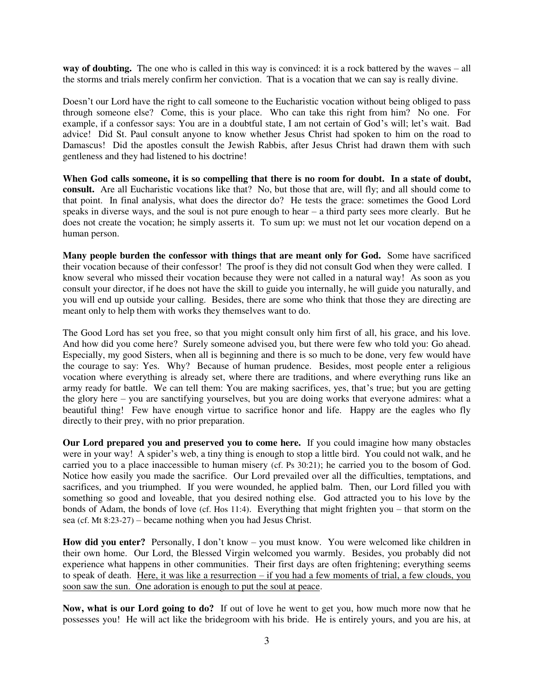**way of doubting.** The one who is called in this way is convinced: it is a rock battered by the waves – all the storms and trials merely confirm her conviction. That is a vocation that we can say is really divine.

Doesn't our Lord have the right to call someone to the Eucharistic vocation without being obliged to pass through someone else? Come, this is your place. Who can take this right from him? No one. For example, if a confessor says: You are in a doubtful state, I am not certain of God's will; let's wait. Bad advice! Did St. Paul consult anyone to know whether Jesus Christ had spoken to him on the road to Damascus! Did the apostles consult the Jewish Rabbis, after Jesus Christ had drawn them with such gentleness and they had listened to his doctrine!

**When God calls someone, it is so compelling that there is no room for doubt. In a state of doubt, consult.** Are all Eucharistic vocations like that? No, but those that are, will fly; and all should come to that point. In final analysis, what does the director do? He tests the grace: sometimes the Good Lord speaks in diverse ways, and the soul is not pure enough to hear – a third party sees more clearly. But he does not create the vocation; he simply asserts it. To sum up: we must not let our vocation depend on a human person.

**Many people burden the confessor with things that are meant only for God.** Some have sacrificed their vocation because of their confessor! The proof is they did not consult God when they were called. I know several who missed their vocation because they were not called in a natural way! As soon as you consult your director, if he does not have the skill to guide you internally, he will guide you naturally, and you will end up outside your calling. Besides, there are some who think that those they are directing are meant only to help them with works they themselves want to do.

The Good Lord has set you free, so that you might consult only him first of all, his grace, and his love. And how did you come here? Surely someone advised you, but there were few who told you: Go ahead. Especially, my good Sisters, when all is beginning and there is so much to be done, very few would have the courage to say: Yes. Why? Because of human prudence. Besides, most people enter a religious vocation where everything is already set, where there are traditions, and where everything runs like an army ready for battle. We can tell them: You are making sacrifices, yes, that's true; but you are getting the glory here – you are sanctifying yourselves, but you are doing works that everyone admires: what a beautiful thing! Few have enough virtue to sacrifice honor and life. Happy are the eagles who fly directly to their prey, with no prior preparation.

**Our Lord prepared you and preserved you to come here.** If you could imagine how many obstacles were in your way! A spider's web, a tiny thing is enough to stop a little bird. You could not walk, and he carried you to a place inaccessible to human misery (cf. Ps 30:21); he carried you to the bosom of God. Notice how easily you made the sacrifice. Our Lord prevailed over all the difficulties, temptations, and sacrifices, and you triumphed. If you were wounded, he applied balm. Then, our Lord filled you with something so good and loveable, that you desired nothing else. God attracted you to his love by the bonds of Adam, the bonds of love (cf. Hos 11:4). Everything that might frighten you – that storm on the sea (cf. Mt 8:23-27) – became nothing when you had Jesus Christ.

**How did you enter?** Personally, I don't know – you must know. You were welcomed like children in their own home. Our Lord, the Blessed Virgin welcomed you warmly. Besides, you probably did not experience what happens in other communities. Their first days are often frightening; everything seems to speak of death. Here, it was like a resurrection – if you had a few moments of trial, a few clouds, you soon saw the sun. One adoration is enough to put the soul at peace.

**Now, what is our Lord going to do?** If out of love he went to get you, how much more now that he possesses you! He will act like the bridegroom with his bride. He is entirely yours, and you are his, at